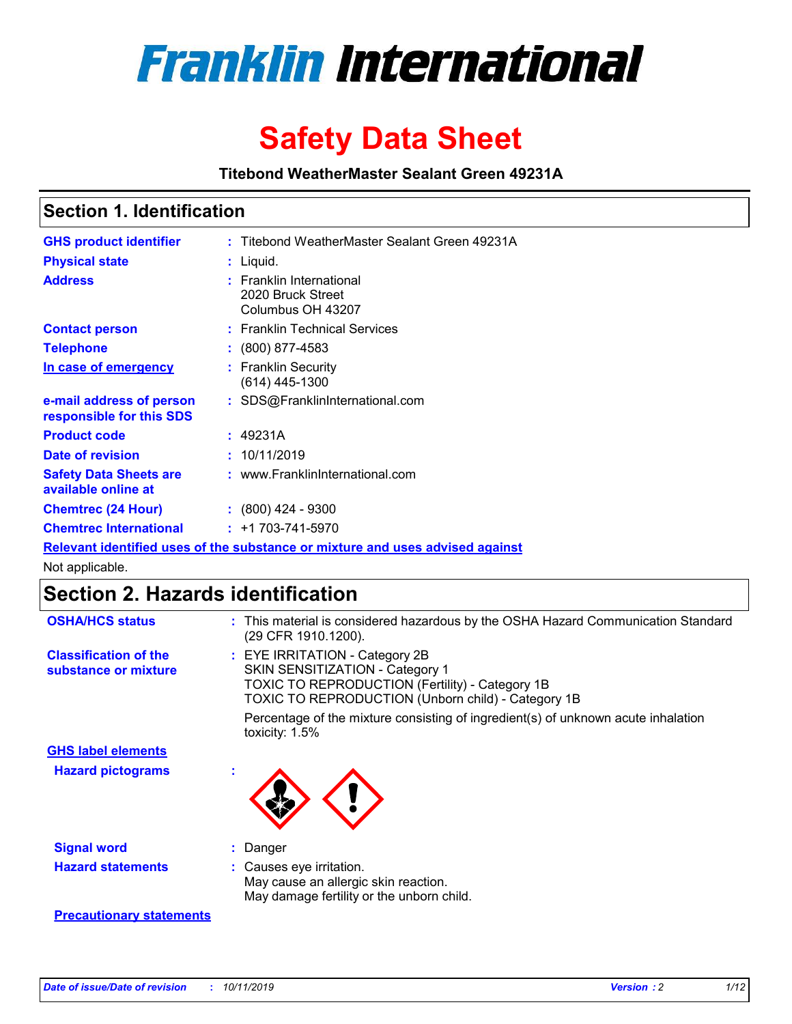

# **Safety Data Sheet**

**Titebond WeatherMaster Sealant Green 49231A**

### **Section 1. Identification**

| <b>GHS product identifier</b>                        | : Titebond WeatherMaster Sealant Green 49231A                                 |
|------------------------------------------------------|-------------------------------------------------------------------------------|
| <b>Physical state</b>                                | : Liquid.                                                                     |
| <b>Address</b>                                       | : Franklin International<br>2020 Bruck Street<br>Columbus OH 43207            |
| <b>Contact person</b>                                | : Franklin Technical Services                                                 |
| <b>Telephone</b>                                     | $\div$ (800) 877-4583                                                         |
| In case of emergency                                 | : Franklin Security<br>$(614)$ 445-1300                                       |
| e-mail address of person<br>responsible for this SDS | : SDS@FranklinInternational.com                                               |
| <b>Product code</b>                                  | : 49231A                                                                      |
| Date of revision                                     | : 10/11/2019                                                                  |
| <b>Safety Data Sheets are</b><br>available online at | : www.FranklinInternational.com                                               |
| <b>Chemtrec (24 Hour)</b>                            | $\div$ (800) 424 - 9300                                                       |
| <b>Chemtrec International</b>                        | $: +1703 - 741 - 5970$                                                        |
|                                                      | Relevant identified uses of the substance or mixture and uses advised against |

Not applicable.

## **Section 2. Hazards identification**

| <b>OSHA/HCS status</b>                               | : This material is considered hazardous by the OSHA Hazard Communication Standard<br>(29 CFR 1910.1200).                                                                                 |
|------------------------------------------------------|------------------------------------------------------------------------------------------------------------------------------------------------------------------------------------------|
| <b>Classification of the</b><br>substance or mixture | : EYE IRRITATION - Category 2B<br>SKIN SENSITIZATION - Category 1<br><b>TOXIC TO REPRODUCTION (Fertility) - Category 1B</b><br><b>TOXIC TO REPRODUCTION (Unborn child) - Category 1B</b> |
|                                                      | Percentage of the mixture consisting of ingredient(s) of unknown acute inhalation<br>toxicity: $1.5\%$                                                                                   |
| <b>GHS label elements</b>                            |                                                                                                                                                                                          |
| <b>Hazard pictograms</b>                             |                                                                                                                                                                                          |
| <b>Signal word</b>                                   | : Danger                                                                                                                                                                                 |
| <b>Hazard statements</b>                             | : Causes eye irritation.<br>May cause an allergic skin reaction.<br>May damage fertility or the unborn child.                                                                            |
| <b>Precautionary statements</b>                      |                                                                                                                                                                                          |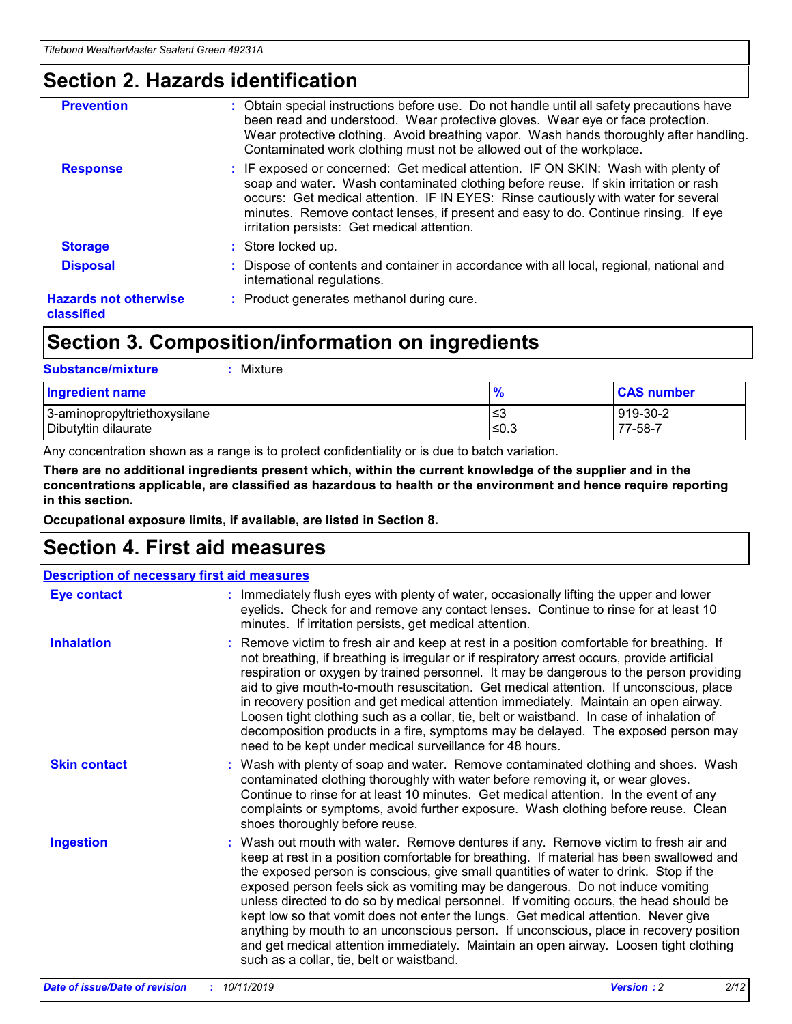### **Section 2. Hazards identification**

| <b>Prevention</b>                          | : Obtain special instructions before use. Do not handle until all safety precautions have<br>been read and understood. Wear protective gloves. Wear eye or face protection.<br>Wear protective clothing. Avoid breathing vapor. Wash hands thoroughly after handling.<br>Contaminated work clothing must not be allowed out of the workplace.                                                        |
|--------------------------------------------|------------------------------------------------------------------------------------------------------------------------------------------------------------------------------------------------------------------------------------------------------------------------------------------------------------------------------------------------------------------------------------------------------|
| <b>Response</b>                            | : IF exposed or concerned: Get medical attention. IF ON SKIN: Wash with plenty of<br>soap and water. Wash contaminated clothing before reuse. If skin irritation or rash<br>occurs: Get medical attention. IF IN EYES: Rinse cautiously with water for several<br>minutes. Remove contact lenses, if present and easy to do. Continue rinsing. If eye<br>irritation persists: Get medical attention. |
| <b>Storage</b>                             | : Store locked up.                                                                                                                                                                                                                                                                                                                                                                                   |
| <b>Disposal</b>                            | : Dispose of contents and container in accordance with all local, regional, national and<br>international regulations.                                                                                                                                                                                                                                                                               |
| <b>Hazards not otherwise</b><br>classified | : Product generates methanol during cure.                                                                                                                                                                                                                                                                                                                                                            |
|                                            |                                                                                                                                                                                                                                                                                                                                                                                                      |

### **Section 3. Composition/information on ingredients**

| <b>Substance/mixture</b><br>Mixture                  |                   |                     |
|------------------------------------------------------|-------------------|---------------------|
| <b>Ingredient name</b>                               | $\frac{9}{6}$     | <b>CAS number</b>   |
| 3-aminopropyltriethoxysilane<br>Dibutyltin dilaurate | l≤3<br>$\leq 0.3$ | 919-30-2<br>77-58-7 |

Any concentration shown as a range is to protect confidentiality or is due to batch variation.

**There are no additional ingredients present which, within the current knowledge of the supplier and in the concentrations applicable, are classified as hazardous to health or the environment and hence require reporting in this section.**

**Occupational exposure limits, if available, are listed in Section 8.**

### **Section 4. First aid measures**

| <b>Description of necessary first aid measures</b> |                                                                                                                                                                                                                                                                                                                                                                                                                                                                                                                                                                                                                                                                                                                                                                           |  |  |  |
|----------------------------------------------------|---------------------------------------------------------------------------------------------------------------------------------------------------------------------------------------------------------------------------------------------------------------------------------------------------------------------------------------------------------------------------------------------------------------------------------------------------------------------------------------------------------------------------------------------------------------------------------------------------------------------------------------------------------------------------------------------------------------------------------------------------------------------------|--|--|--|
| <b>Eye contact</b>                                 | : Immediately flush eyes with plenty of water, occasionally lifting the upper and lower<br>eyelids. Check for and remove any contact lenses. Continue to rinse for at least 10<br>minutes. If irritation persists, get medical attention.                                                                                                                                                                                                                                                                                                                                                                                                                                                                                                                                 |  |  |  |
| <b>Inhalation</b>                                  | : Remove victim to fresh air and keep at rest in a position comfortable for breathing. If<br>not breathing, if breathing is irregular or if respiratory arrest occurs, provide artificial<br>respiration or oxygen by trained personnel. It may be dangerous to the person providing<br>aid to give mouth-to-mouth resuscitation. Get medical attention. If unconscious, place<br>in recovery position and get medical attention immediately. Maintain an open airway.<br>Loosen tight clothing such as a collar, tie, belt or waistband. In case of inhalation of<br>decomposition products in a fire, symptoms may be delayed. The exposed person may<br>need to be kept under medical surveillance for 48 hours.                                                       |  |  |  |
| <b>Skin contact</b>                                | : Wash with plenty of soap and water. Remove contaminated clothing and shoes. Wash<br>contaminated clothing thoroughly with water before removing it, or wear gloves.<br>Continue to rinse for at least 10 minutes. Get medical attention. In the event of any<br>complaints or symptoms, avoid further exposure. Wash clothing before reuse. Clean<br>shoes thoroughly before reuse.                                                                                                                                                                                                                                                                                                                                                                                     |  |  |  |
| <b>Ingestion</b>                                   | : Wash out mouth with water. Remove dentures if any. Remove victim to fresh air and<br>keep at rest in a position comfortable for breathing. If material has been swallowed and<br>the exposed person is conscious, give small quantities of water to drink. Stop if the<br>exposed person feels sick as vomiting may be dangerous. Do not induce vomiting<br>unless directed to do so by medical personnel. If vomiting occurs, the head should be<br>kept low so that vomit does not enter the lungs. Get medical attention. Never give<br>anything by mouth to an unconscious person. If unconscious, place in recovery position<br>and get medical attention immediately. Maintain an open airway. Loosen tight clothing<br>such as a collar, tie, belt or waistband. |  |  |  |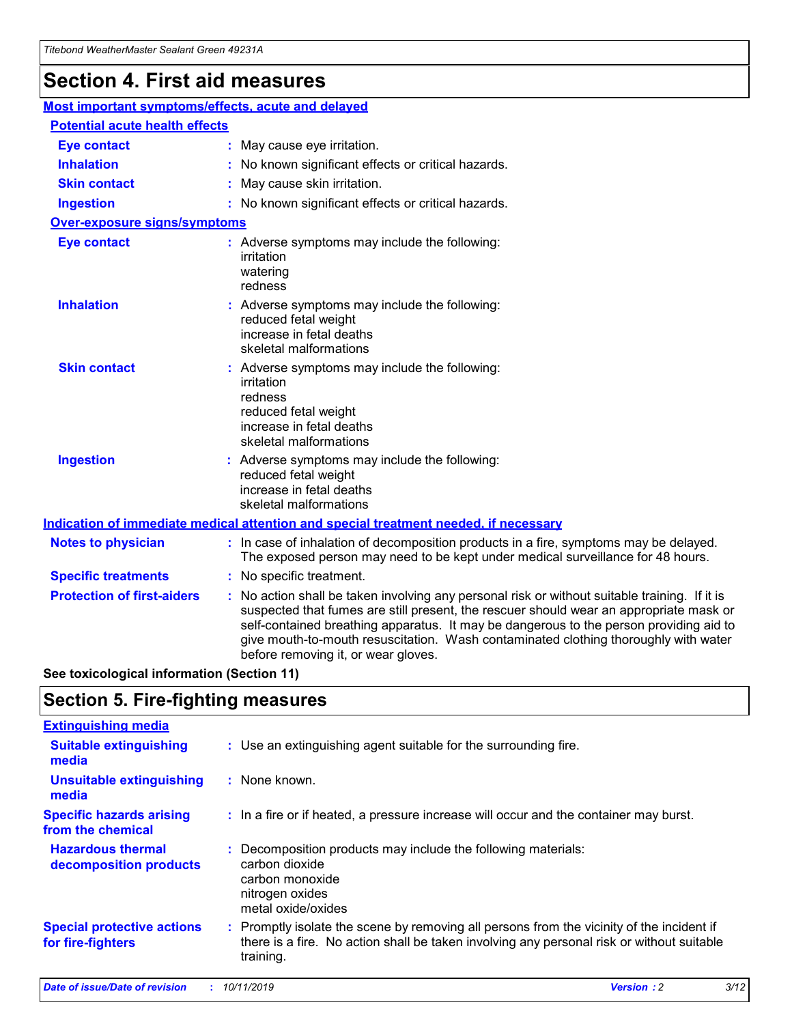## **Section 4. First aid measures**

| Most important symptoms/effects, acute and delayed |  |                                                                                                                                                                                                                                                                                                                                                                                                                 |
|----------------------------------------------------|--|-----------------------------------------------------------------------------------------------------------------------------------------------------------------------------------------------------------------------------------------------------------------------------------------------------------------------------------------------------------------------------------------------------------------|
| <b>Potential acute health effects</b>              |  |                                                                                                                                                                                                                                                                                                                                                                                                                 |
| <b>Eye contact</b>                                 |  | : May cause eye irritation.                                                                                                                                                                                                                                                                                                                                                                                     |
| <b>Inhalation</b>                                  |  | : No known significant effects or critical hazards.                                                                                                                                                                                                                                                                                                                                                             |
| <b>Skin contact</b>                                |  | : May cause skin irritation.                                                                                                                                                                                                                                                                                                                                                                                    |
| <b>Ingestion</b>                                   |  | : No known significant effects or critical hazards.                                                                                                                                                                                                                                                                                                                                                             |
| <b>Over-exposure signs/symptoms</b>                |  |                                                                                                                                                                                                                                                                                                                                                                                                                 |
| <b>Eye contact</b>                                 |  | : Adverse symptoms may include the following:<br>irritation<br>watering<br>redness                                                                                                                                                                                                                                                                                                                              |
| <b>Inhalation</b>                                  |  | : Adverse symptoms may include the following:<br>reduced fetal weight<br>increase in fetal deaths<br>skeletal malformations                                                                                                                                                                                                                                                                                     |
| <b>Skin contact</b>                                |  | : Adverse symptoms may include the following:<br>irritation<br>redness<br>reduced fetal weight<br>increase in fetal deaths<br>skeletal malformations                                                                                                                                                                                                                                                            |
| <b>Ingestion</b>                                   |  | : Adverse symptoms may include the following:<br>reduced fetal weight<br>increase in fetal deaths<br>skeletal malformations                                                                                                                                                                                                                                                                                     |
|                                                    |  | <b>Indication of immediate medical attention and special treatment needed, if necessary</b>                                                                                                                                                                                                                                                                                                                     |
| <b>Notes to physician</b>                          |  | : In case of inhalation of decomposition products in a fire, symptoms may be delayed.<br>The exposed person may need to be kept under medical surveillance for 48 hours.                                                                                                                                                                                                                                        |
| <b>Specific treatments</b>                         |  | : No specific treatment.                                                                                                                                                                                                                                                                                                                                                                                        |
| <b>Protection of first-aiders</b>                  |  | : No action shall be taken involving any personal risk or without suitable training. If it is<br>suspected that fumes are still present, the rescuer should wear an appropriate mask or<br>self-contained breathing apparatus. It may be dangerous to the person providing aid to<br>give mouth-to-mouth resuscitation. Wash contaminated clothing thoroughly with water<br>before removing it, or wear gloves. |

**See toxicological information (Section 11)**

### **Section 5. Fire-fighting measures**

| <b>Extinguishing media</b>                             |                                                                                                                                                                                                     |
|--------------------------------------------------------|-----------------------------------------------------------------------------------------------------------------------------------------------------------------------------------------------------|
| <b>Suitable extinguishing</b><br>media                 | : Use an extinguishing agent suitable for the surrounding fire.                                                                                                                                     |
| <b>Unsuitable extinguishing</b><br>media               | : None known.                                                                                                                                                                                       |
| <b>Specific hazards arising</b><br>from the chemical   | : In a fire or if heated, a pressure increase will occur and the container may burst.                                                                                                               |
| <b>Hazardous thermal</b><br>decomposition products     | : Decomposition products may include the following materials:<br>carbon dioxide<br>carbon monoxide<br>nitrogen oxides<br>metal oxide/oxides                                                         |
| <b>Special protective actions</b><br>for fire-fighters | : Promptly isolate the scene by removing all persons from the vicinity of the incident if<br>there is a fire. No action shall be taken involving any personal risk or without suitable<br>training. |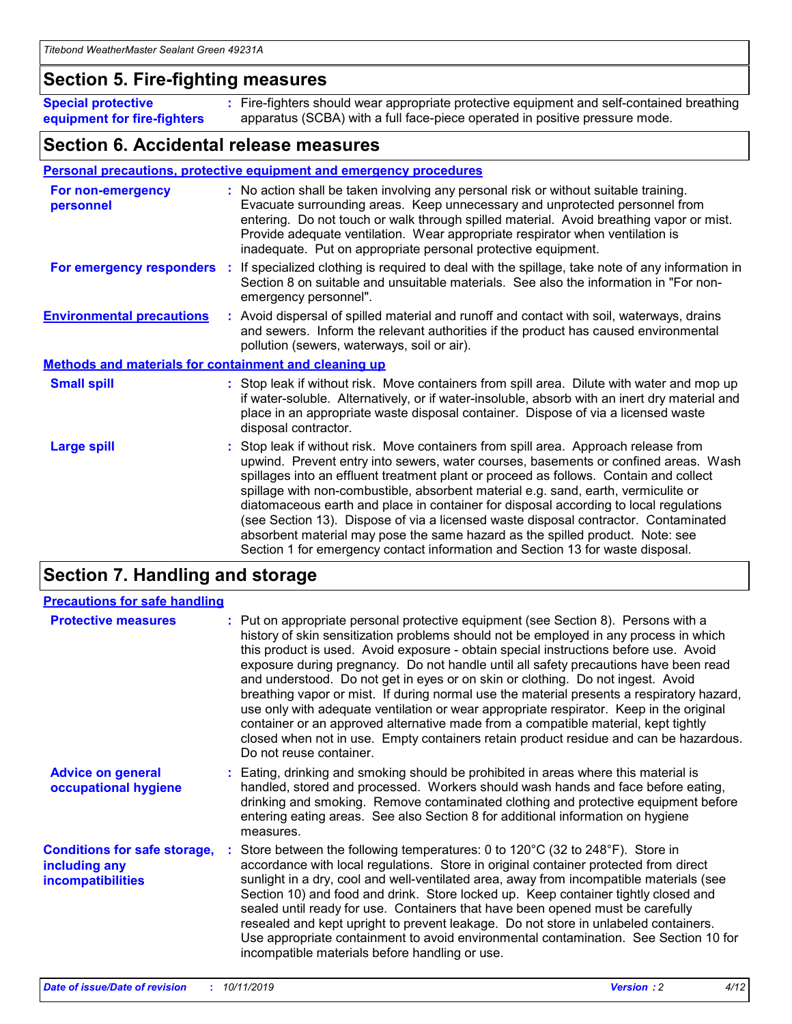### **Section 5. Fire-fighting measures**

**Special protective equipment for fire-fighters** Fire-fighters should wear appropriate protective equipment and self-contained breathing **:** apparatus (SCBA) with a full face-piece operated in positive pressure mode.

### **Section 6. Accidental release measures**

#### **Personal precautions, protective equipment and emergency procedures**

| For non-emergency<br>personnel                               | : No action shall be taken involving any personal risk or without suitable training.<br>Evacuate surrounding areas. Keep unnecessary and unprotected personnel from<br>entering. Do not touch or walk through spilled material. Avoid breathing vapor or mist.<br>Provide adequate ventilation. Wear appropriate respirator when ventilation is<br>inadequate. Put on appropriate personal protective equipment.                                                                                                                                                                                                                                                                                             |
|--------------------------------------------------------------|--------------------------------------------------------------------------------------------------------------------------------------------------------------------------------------------------------------------------------------------------------------------------------------------------------------------------------------------------------------------------------------------------------------------------------------------------------------------------------------------------------------------------------------------------------------------------------------------------------------------------------------------------------------------------------------------------------------|
|                                                              | For emergency responders : If specialized clothing is required to deal with the spillage, take note of any information in<br>Section 8 on suitable and unsuitable materials. See also the information in "For non-<br>emergency personnel".                                                                                                                                                                                                                                                                                                                                                                                                                                                                  |
| <b>Environmental precautions</b>                             | : Avoid dispersal of spilled material and runoff and contact with soil, waterways, drains<br>and sewers. Inform the relevant authorities if the product has caused environmental<br>pollution (sewers, waterways, soil or air).                                                                                                                                                                                                                                                                                                                                                                                                                                                                              |
| <b>Methods and materials for containment and cleaning up</b> |                                                                                                                                                                                                                                                                                                                                                                                                                                                                                                                                                                                                                                                                                                              |
| <b>Small spill</b>                                           | : Stop leak if without risk. Move containers from spill area. Dilute with water and mop up<br>if water-soluble. Alternatively, or if water-insoluble, absorb with an inert dry material and<br>place in an appropriate waste disposal container. Dispose of via a licensed waste<br>disposal contractor.                                                                                                                                                                                                                                                                                                                                                                                                     |
| <b>Large spill</b>                                           | : Stop leak if without risk. Move containers from spill area. Approach release from<br>upwind. Prevent entry into sewers, water courses, basements or confined areas. Wash<br>spillages into an effluent treatment plant or proceed as follows. Contain and collect<br>spillage with non-combustible, absorbent material e.g. sand, earth, vermiculite or<br>diatomaceous earth and place in container for disposal according to local regulations<br>(see Section 13). Dispose of via a licensed waste disposal contractor. Contaminated<br>absorbent material may pose the same hazard as the spilled product. Note: see<br>Section 1 for emergency contact information and Section 13 for waste disposal. |

### **Section 7. Handling and storage**

| <b>Precautions for safe handling</b>                                             |                                                                                                                                                                                                                                                                                                                                                                                                                                                                                                                                                                                                                                                                                                                                                                                                                                                  |
|----------------------------------------------------------------------------------|--------------------------------------------------------------------------------------------------------------------------------------------------------------------------------------------------------------------------------------------------------------------------------------------------------------------------------------------------------------------------------------------------------------------------------------------------------------------------------------------------------------------------------------------------------------------------------------------------------------------------------------------------------------------------------------------------------------------------------------------------------------------------------------------------------------------------------------------------|
| <b>Protective measures</b>                                                       | : Put on appropriate personal protective equipment (see Section 8). Persons with a<br>history of skin sensitization problems should not be employed in any process in which<br>this product is used. Avoid exposure - obtain special instructions before use. Avoid<br>exposure during pregnancy. Do not handle until all safety precautions have been read<br>and understood. Do not get in eyes or on skin or clothing. Do not ingest. Avoid<br>breathing vapor or mist. If during normal use the material presents a respiratory hazard,<br>use only with adequate ventilation or wear appropriate respirator. Keep in the original<br>container or an approved alternative made from a compatible material, kept tightly<br>closed when not in use. Empty containers retain product residue and can be hazardous.<br>Do not reuse container. |
| <b>Advice on general</b><br>occupational hygiene                                 | : Eating, drinking and smoking should be prohibited in areas where this material is<br>handled, stored and processed. Workers should wash hands and face before eating,<br>drinking and smoking. Remove contaminated clothing and protective equipment before<br>entering eating areas. See also Section 8 for additional information on hygiene<br>measures.                                                                                                                                                                                                                                                                                                                                                                                                                                                                                    |
| <b>Conditions for safe storage,</b><br>including any<br><b>incompatibilities</b> | : Store between the following temperatures: 0 to 120 $\degree$ C (32 to 248 $\degree$ F). Store in<br>accordance with local regulations. Store in original container protected from direct<br>sunlight in a dry, cool and well-ventilated area, away from incompatible materials (see<br>Section 10) and food and drink. Store locked up. Keep container tightly closed and<br>sealed until ready for use. Containers that have been opened must be carefully<br>resealed and kept upright to prevent leakage. Do not store in unlabeled containers.<br>Use appropriate containment to avoid environmental contamination. See Section 10 for<br>incompatible materials before handling or use.                                                                                                                                                   |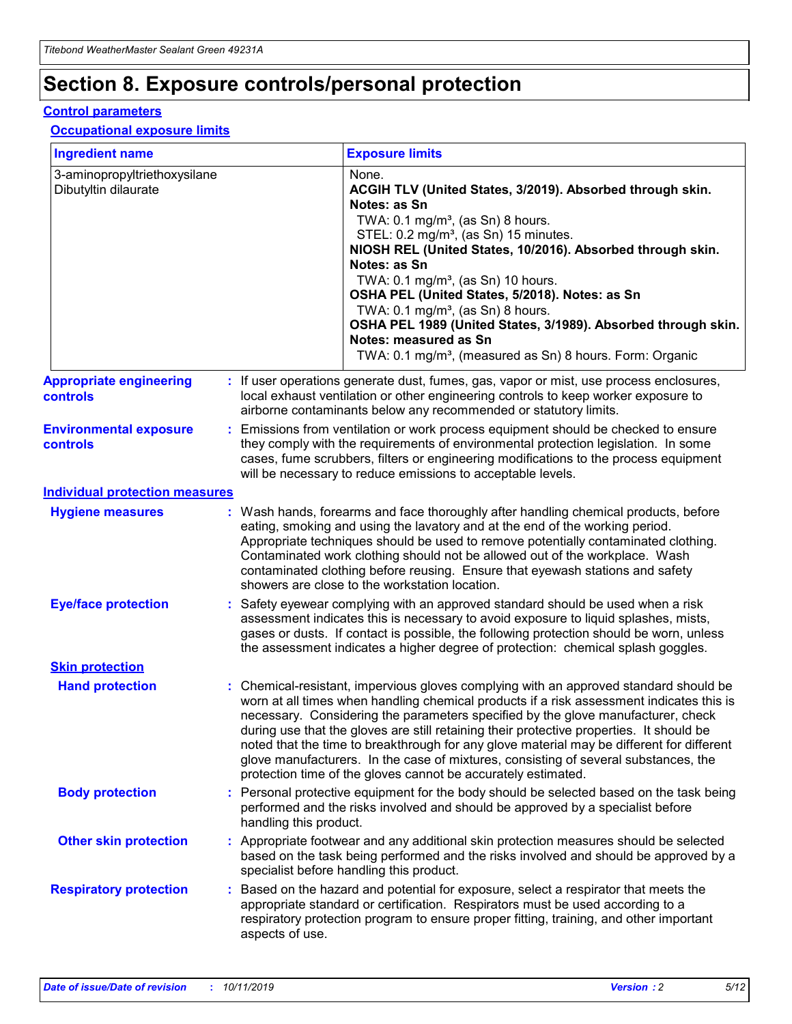## **Section 8. Exposure controls/personal protection**

#### **Control parameters**

#### **Occupational exposure limits**

| <b>Ingredient name</b>                               |    |                        | <b>Exposure limits</b>                                                                                                                                                                                                                                                                                                                                                                                                                                                                                                                                                                                                 |
|------------------------------------------------------|----|------------------------|------------------------------------------------------------------------------------------------------------------------------------------------------------------------------------------------------------------------------------------------------------------------------------------------------------------------------------------------------------------------------------------------------------------------------------------------------------------------------------------------------------------------------------------------------------------------------------------------------------------------|
| 3-aminopropyltriethoxysilane<br>Dibutyltin dilaurate |    |                        | None.<br>ACGIH TLV (United States, 3/2019). Absorbed through skin.<br>Notes: as Sn<br>TWA: $0.1 \text{ mg/m}^3$ , (as Sn) 8 hours.<br>STEL: 0.2 mg/m <sup>3</sup> , (as Sn) 15 minutes.<br>NIOSH REL (United States, 10/2016). Absorbed through skin.<br>Notes: as Sn<br>TWA: 0.1 mg/m <sup>3</sup> , (as Sn) 10 hours.<br>OSHA PEL (United States, 5/2018). Notes: as Sn<br>TWA: 0.1 mg/m <sup>3</sup> , (as Sn) 8 hours.<br>OSHA PEL 1989 (United States, 3/1989). Absorbed through skin.<br>Notes: measured as Sn<br>TWA: 0.1 mg/m <sup>3</sup> , (measured as Sn) 8 hours. Form: Organic                           |
| <b>Appropriate engineering</b><br>controls           |    |                        | : If user operations generate dust, fumes, gas, vapor or mist, use process enclosures,<br>local exhaust ventilation or other engineering controls to keep worker exposure to<br>airborne contaminants below any recommended or statutory limits.                                                                                                                                                                                                                                                                                                                                                                       |
| <b>Environmental exposure</b><br>controls            |    |                        | Emissions from ventilation or work process equipment should be checked to ensure<br>they comply with the requirements of environmental protection legislation. In some<br>cases, fume scrubbers, filters or engineering modifications to the process equipment<br>will be necessary to reduce emissions to acceptable levels.                                                                                                                                                                                                                                                                                          |
| <b>Individual protection measures</b>                |    |                        |                                                                                                                                                                                                                                                                                                                                                                                                                                                                                                                                                                                                                        |
| <b>Hygiene measures</b>                              |    |                        | : Wash hands, forearms and face thoroughly after handling chemical products, before<br>eating, smoking and using the lavatory and at the end of the working period.<br>Appropriate techniques should be used to remove potentially contaminated clothing.<br>Contaminated work clothing should not be allowed out of the workplace. Wash<br>contaminated clothing before reusing. Ensure that eyewash stations and safety<br>showers are close to the workstation location.                                                                                                                                            |
| <b>Eye/face protection</b>                           |    |                        | Safety eyewear complying with an approved standard should be used when a risk<br>assessment indicates this is necessary to avoid exposure to liquid splashes, mists,<br>gases or dusts. If contact is possible, the following protection should be worn, unless<br>the assessment indicates a higher degree of protection: chemical splash goggles.                                                                                                                                                                                                                                                                    |
| <b>Skin protection</b>                               |    |                        |                                                                                                                                                                                                                                                                                                                                                                                                                                                                                                                                                                                                                        |
| <b>Hand protection</b>                               |    |                        | : Chemical-resistant, impervious gloves complying with an approved standard should be<br>worn at all times when handling chemical products if a risk assessment indicates this is<br>necessary. Considering the parameters specified by the glove manufacturer, check<br>during use that the gloves are still retaining their protective properties. It should be<br>noted that the time to breakthrough for any glove material may be different for different<br>glove manufacturers. In the case of mixtures, consisting of several substances, the<br>protection time of the gloves cannot be accurately estimated. |
| <b>Body protection</b>                               |    | handling this product. | Personal protective equipment for the body should be selected based on the task being<br>performed and the risks involved and should be approved by a specialist before                                                                                                                                                                                                                                                                                                                                                                                                                                                |
| <b>Other skin protection</b>                         |    |                        | : Appropriate footwear and any additional skin protection measures should be selected<br>based on the task being performed and the risks involved and should be approved by a<br>specialist before handling this product.                                                                                                                                                                                                                                                                                                                                                                                              |
| <b>Respiratory protection</b>                        | ÷. | aspects of use.        | Based on the hazard and potential for exposure, select a respirator that meets the<br>appropriate standard or certification. Respirators must be used according to a<br>respiratory protection program to ensure proper fitting, training, and other important                                                                                                                                                                                                                                                                                                                                                         |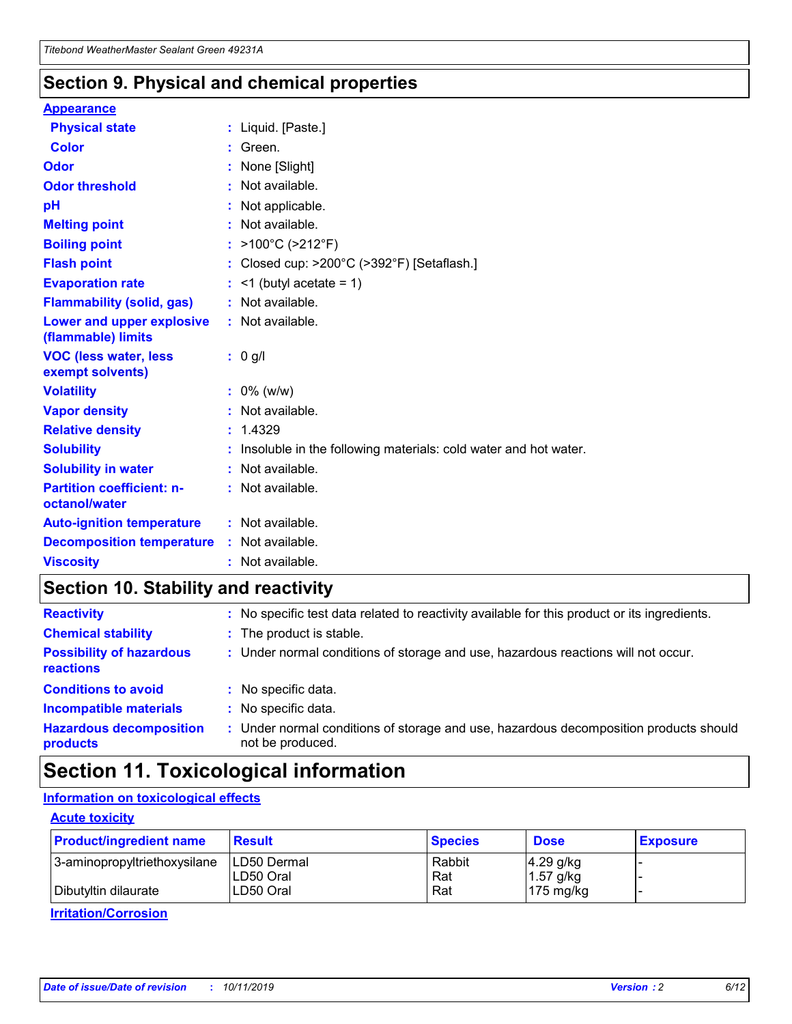### **Section 9. Physical and chemical properties**

#### **Appearance**

| <b>Physical state</b>                             | : Liquid. [Paste.]                                              |
|---------------------------------------------------|-----------------------------------------------------------------|
| Color                                             | Green.                                                          |
| Odor                                              | : None [Slight]                                                 |
| <b>Odor threshold</b>                             | : Not available.                                                |
| рH                                                | : Not applicable.                                               |
| <b>Melting point</b>                              | : Not available.                                                |
| <b>Boiling point</b>                              | : >100°C (>212°F)                                               |
| <b>Flash point</b>                                | : Closed cup: $>200^{\circ}$ C ( $>392^{\circ}$ F) [Setaflash.] |
| <b>Evaporation rate</b>                           | $:$ <1 (butyl acetate = 1)                                      |
| <b>Flammability (solid, gas)</b>                  | : Not available.                                                |
| Lower and upper explosive<br>(flammable) limits   | : Not available.                                                |
| <b>VOC (less water, less</b><br>exempt solvents)  | : 0 g/l                                                         |
| <b>Volatility</b>                                 | $: 0\%$ (w/w)                                                   |
| <b>Vapor density</b>                              | : Not available.                                                |
| <b>Relative density</b>                           | : 1.4329                                                        |
| <b>Solubility</b>                                 | Insoluble in the following materials: cold water and hot water. |
| <b>Solubility in water</b>                        | : Not available.                                                |
| <b>Partition coefficient: n-</b><br>octanol/water | $:$ Not available.                                              |
| <b>Auto-ignition temperature</b>                  | : Not available.                                                |
| <b>Decomposition temperature</b>                  | : Not available.                                                |
|                                                   |                                                                 |

### **Section 10. Stability and reactivity**

| <b>Reactivity</b>                            |    | : No specific test data related to reactivity available for this product or its ingredients.            |
|----------------------------------------------|----|---------------------------------------------------------------------------------------------------------|
| <b>Chemical stability</b>                    |    | : The product is stable.                                                                                |
| <b>Possibility of hazardous</b><br>reactions |    | : Under normal conditions of storage and use, hazardous reactions will not occur.                       |
| <b>Conditions to avoid</b>                   |    | : No specific data.                                                                                     |
| <b>Incompatible materials</b>                | ٠. | No specific data.                                                                                       |
| <b>Hazardous decomposition</b><br>products   | ÷. | Under normal conditions of storage and use, hazardous decomposition products should<br>not be produced. |

### **Section 11. Toxicological information**

### **Information on toxicological effects**

#### **Acute toxicity**

| <b>Product/ingredient name</b> | <b>Result</b>           | <b>Species</b> | <b>Dose</b>                | <b>Exposure</b> |
|--------------------------------|-------------------------|----------------|----------------------------|-----------------|
| 3-aminopropyltriethoxysilane   | <b>ILD50 Dermal</b>     | Rabbit         | 4.29 g/kg                  |                 |
| Dibutyltin dilaurate           | ILD50 Oral<br>LD50 Oral | Rat<br>Rat     | $1.57$ g/kg<br>175 $mg/kg$ |                 |
|                                |                         |                |                            |                 |

**Irritation/Corrosion**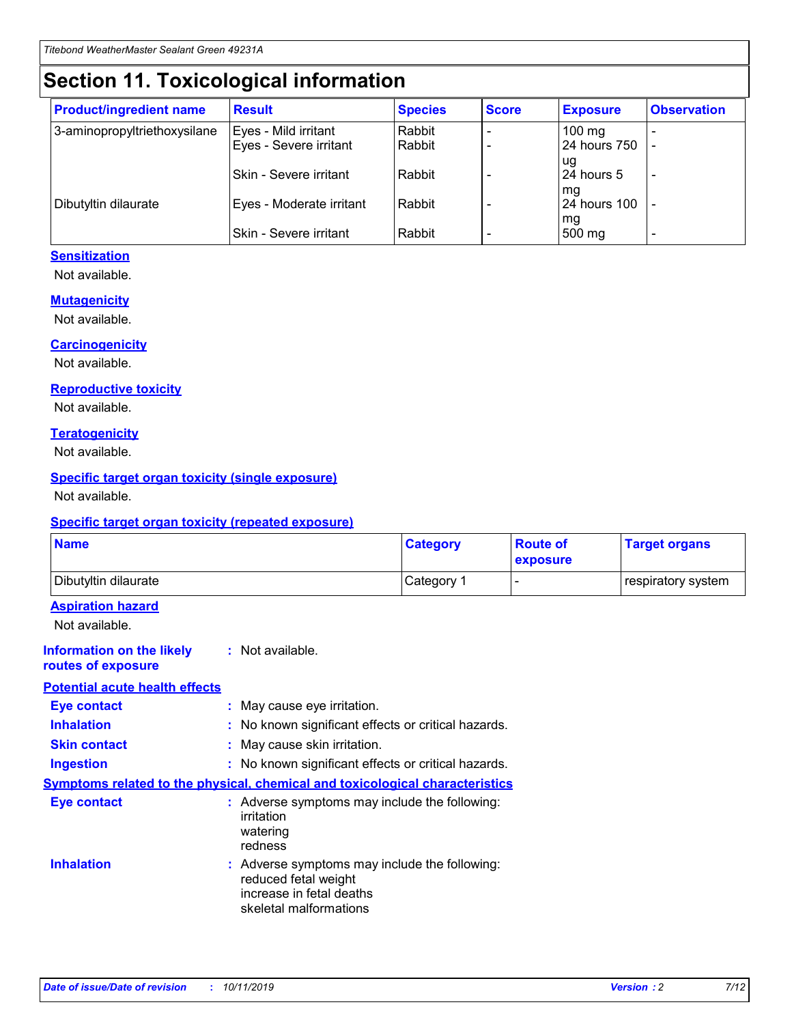## **Section 11. Toxicological information**

| <b>Product/ingredient name</b> | <b>Result</b>            | <b>Species</b> | <b>Score</b> | <b>Exposure</b>           | <b>Observation</b> |
|--------------------------------|--------------------------|----------------|--------------|---------------------------|--------------------|
| 3-aminopropyltriethoxysilane   | Eyes - Mild irritant     | Rabbit         |              | $100$ mg                  |                    |
|                                | Eyes - Severe irritant   | Rabbit         |              | 24 hours 750              |                    |
|                                |                          |                |              | ug                        |                    |
|                                | Skin - Severe irritant   | Rabbit         |              | 24 hours 5                | -                  |
| Dibutyltin dilaurate           | Eyes - Moderate irritant | Rabbit         |              | mq<br><b>24 hours 100</b> |                    |
|                                |                          |                |              | mg                        |                    |
|                                | Skin - Severe irritant   | Rabbit         |              | 500 mg                    |                    |

#### **Sensitization**

Not available.

#### **Mutagenicity**

Not available.

#### **Carcinogenicity**

Not available.

#### **Reproductive toxicity**

Not available.

#### **Teratogenicity**

Not available.

#### **Specific target organ toxicity (single exposure)**

Not available.

#### **Specific target organ toxicity (repeated exposure)**

| <b>Name</b>                                                                         |                                                                            | <b>Category</b>                                     | <b>Route of</b><br>exposure | <b>Target organs</b> |
|-------------------------------------------------------------------------------------|----------------------------------------------------------------------------|-----------------------------------------------------|-----------------------------|----------------------|
| Dibutyltin dilaurate                                                                |                                                                            | Category 1                                          |                             | respiratory system   |
| <b>Aspiration hazard</b><br>Not available.                                          |                                                                            |                                                     |                             |                      |
| <b>Information on the likely</b><br>routes of exposure                              | : Not available.                                                           |                                                     |                             |                      |
| <b>Potential acute health effects</b>                                               |                                                                            |                                                     |                             |                      |
| <b>Eye contact</b>                                                                  | : May cause eye irritation.                                                |                                                     |                             |                      |
| <b>Inhalation</b>                                                                   |                                                                            | : No known significant effects or critical hazards. |                             |                      |
| <b>Skin contact</b>                                                                 | : May cause skin irritation.                                               |                                                     |                             |                      |
| <b>Ingestion</b>                                                                    |                                                                            | : No known significant effects or critical hazards. |                             |                      |
| <b>Symptoms related to the physical, chemical and toxicological characteristics</b> |                                                                            |                                                     |                             |                      |
| <b>Eye contact</b>                                                                  | irritation<br>watering<br>redness                                          | : Adverse symptoms may include the following:       |                             |                      |
| <b>Inhalation</b>                                                                   | reduced fetal weight<br>increase in fetal deaths<br>skeletal malformations | : Adverse symptoms may include the following:       |                             |                      |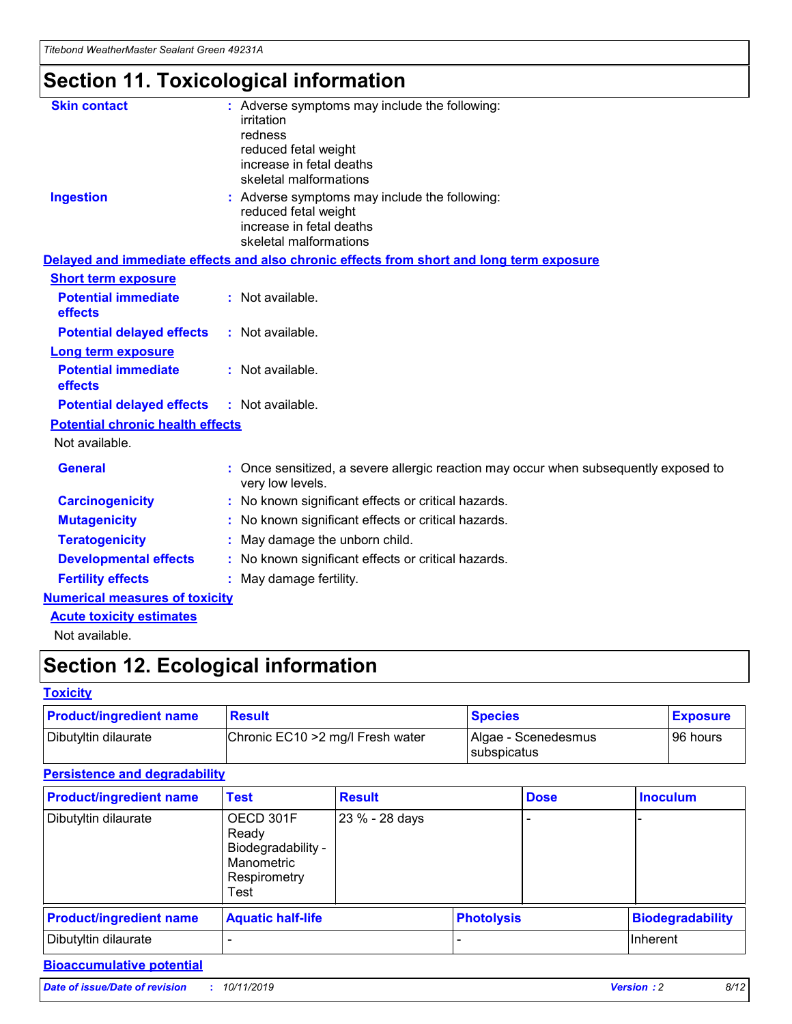## **Section 11. Toxicological information**

| <b>Skin contact</b>                     | : Adverse symptoms may include the following:<br>irritation<br>redness<br>reduced fetal weight<br>increase in fetal deaths<br>skeletal malformations |
|-----------------------------------------|------------------------------------------------------------------------------------------------------------------------------------------------------|
| <b>Ingestion</b>                        | : Adverse symptoms may include the following:<br>reduced fetal weight<br>increase in fetal deaths<br>skeletal malformations                          |
|                                         | Delayed and immediate effects and also chronic effects from short and long term exposure                                                             |
| <b>Short term exposure</b>              |                                                                                                                                                      |
| <b>Potential immediate</b><br>effects   | : Not available.                                                                                                                                     |
| <b>Potential delayed effects</b>        | : Not available.                                                                                                                                     |
| <b>Long term exposure</b>               |                                                                                                                                                      |
| <b>Potential immediate</b><br>effects   | : Not available.                                                                                                                                     |
| <b>Potential delayed effects</b>        | : Not available.                                                                                                                                     |
| <b>Potential chronic health effects</b> |                                                                                                                                                      |
| Not available.                          |                                                                                                                                                      |
| <b>General</b>                          | : Once sensitized, a severe allergic reaction may occur when subsequently exposed to<br>very low levels.                                             |
| <b>Carcinogenicity</b>                  | : No known significant effects or critical hazards.                                                                                                  |
| <b>Mutagenicity</b>                     | No known significant effects or critical hazards.                                                                                                    |
| <b>Teratogenicity</b>                   | May damage the unborn child.                                                                                                                         |
| <b>Developmental effects</b>            | No known significant effects or critical hazards.                                                                                                    |
| <b>Fertility effects</b>                | : May damage fertility.                                                                                                                              |
| <b>Numerical measures of toxicity</b>   |                                                                                                                                                      |
| <b>Acute toxicity estimates</b>         |                                                                                                                                                      |
|                                         |                                                                                                                                                      |

Not available.

## **Section 12. Ecological information**

#### **Toxicity**

| <b>Product/ingredient name</b> | <b>Result</b>                     | <b>Species</b>                       | <b>Exposure</b> |
|--------------------------------|-----------------------------------|--------------------------------------|-----------------|
| Dibutyltin dilaurate           | Chronic EC10 > 2 mg/l Fresh water | Algae - Scenedesmus<br>I subspicatus | l 96 hours      |

### **Persistence and degradability**

| <b>Product/ingredient name</b> | <b>Test</b>                                                                    | <b>Result</b>  |                   | <b>Dose</b> | <b>Inoculum</b>         |
|--------------------------------|--------------------------------------------------------------------------------|----------------|-------------------|-------------|-------------------------|
| Dibutyltin dilaurate           | OECD 301F<br>Ready<br>Biodegradability -<br>Manometric<br>Respirometry<br>Test | 23 % - 28 days |                   |             |                         |
| <b>Product/ingredient name</b> | <b>Aquatic half-life</b>                                                       |                | <b>Photolysis</b> |             | <b>Biodegradability</b> |
| Dibutyltin dilaurate           |                                                                                |                |                   |             | Inherent                |

### **Bioaccumulative potential**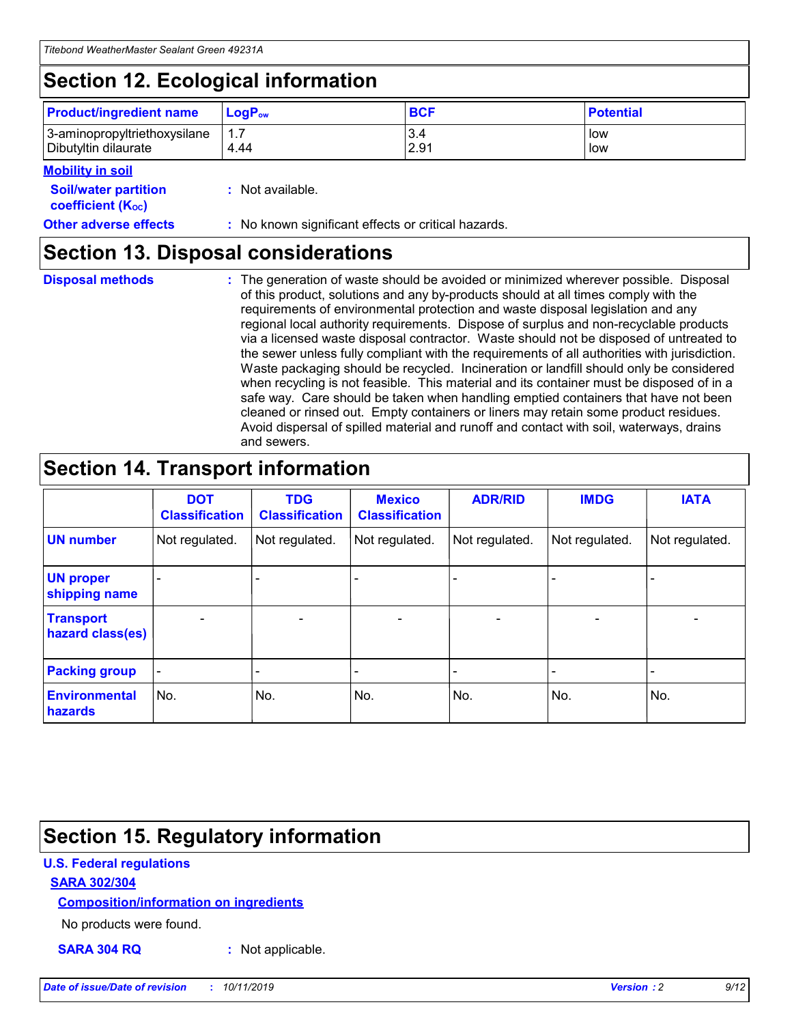## **Section 12. Ecological information**

| <b>Product/ingredient name</b>                       | ∣LoqP <sub>ow</sub> | <b>BCF</b>  | <b>Potential</b> |
|------------------------------------------------------|---------------------|-------------|------------------|
| 3-aminopropyltriethoxysilane<br>Dibutyltin dilaurate | 4.44                | 3.4<br>2.91 | low<br>low       |

#### **Mobility in soil**

| <i></i>                                                       |                                                     |
|---------------------------------------------------------------|-----------------------------------------------------|
| <b>Soil/water partition</b><br>coefficient (K <sub>oc</sub> ) | : Not available.                                    |
| <b>Other adverse effects</b>                                  | : No known significant effects or critical hazards. |

### **Section 13. Disposal considerations**

|  | <b>Disposal methods</b> |  |
|--|-------------------------|--|

**Disposal methods** : The generation of waste should be avoided or minimized wherever possible. Disposal of this product, solutions and any by-products should at all times comply with the requirements of environmental protection and waste disposal legislation and any regional local authority requirements. Dispose of surplus and non-recyclable products via a licensed waste disposal contractor. Waste should not be disposed of untreated to the sewer unless fully compliant with the requirements of all authorities with jurisdiction. Waste packaging should be recycled. Incineration or landfill should only be considered when recycling is not feasible. This material and its container must be disposed of in a safe way. Care should be taken when handling emptied containers that have not been cleaned or rinsed out. Empty containers or liners may retain some product residues. Avoid dispersal of spilled material and runoff and contact with soil, waterways, drains and sewers.

## **Section 14. Transport information**

|                                      | <b>DOT</b><br><b>Classification</b> | <b>TDG</b><br><b>Classification</b> | <b>Mexico</b><br><b>Classification</b> | <b>ADR/RID</b>           | <b>IMDG</b>              | <b>IATA</b>              |
|--------------------------------------|-------------------------------------|-------------------------------------|----------------------------------------|--------------------------|--------------------------|--------------------------|
| <b>UN number</b>                     | Not regulated.                      | Not regulated.                      | Not regulated.                         | Not regulated.           | Not regulated.           | Not regulated.           |
| <b>UN proper</b><br>shipping name    | $\qquad \qquad$                     |                                     |                                        |                          |                          |                          |
| <b>Transport</b><br>hazard class(es) | $\blacksquare$                      | $\blacksquare$                      | $\blacksquare$                         | $\overline{\phantom{a}}$ | $\blacksquare$           | $\blacksquare$           |
| <b>Packing group</b>                 | $\overline{\phantom{a}}$            | $\overline{\phantom{0}}$            | $\overline{\phantom{0}}$               | -                        | $\overline{\phantom{0}}$ | $\overline{\phantom{a}}$ |
| <b>Environmental</b><br>hazards      | No.                                 | No.                                 | No.                                    | No.                      | No.                      | No.                      |

## **Section 15. Regulatory information**

#### **U.S. Federal regulations**

#### **SARA 302/304**

#### **Composition/information on ingredients**

No products were found.

**SARA 304 RQ :** Not applicable.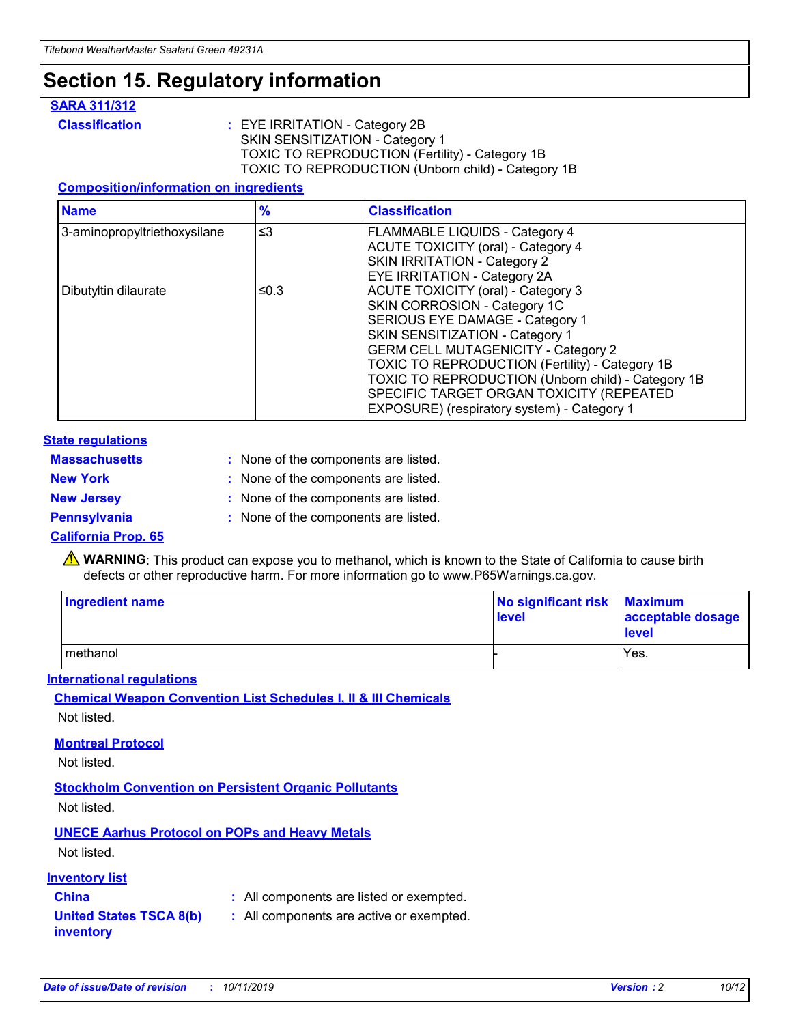### **Section 15. Regulatory information**

#### **SARA 311/312**

**Classification :** EYE IRRITATION - Category 2B SKIN SENSITIZATION - Category 1 TOXIC TO REPRODUCTION (Fertility) - Category 1B TOXIC TO REPRODUCTION (Unborn child) - Category 1B

#### **Composition/information on ingredients**

| <b>Name</b>                  | $\frac{9}{6}$ | <b>Classification</b>                                                                                            |
|------------------------------|---------------|------------------------------------------------------------------------------------------------------------------|
| 3-aminopropyltriethoxysilane | $\leq$ 3      | <b>FLAMMABLE LIQUIDS - Category 4</b><br><b>ACUTE TOXICITY (oral) - Category 4</b>                               |
|                              |               | SKIN IRRITATION - Category 2<br>EYE IRRITATION - Category 2A                                                     |
| Dibutyltin dilaurate         | ≤0.3          | ACUTE TOXICITY (oral) - Category 3<br>SKIN CORROSION - Category 1C                                               |
|                              |               | SERIOUS EYE DAMAGE - Category 1<br>SKIN SENSITIZATION - Category 1<br><b>GERM CELL MUTAGENICITY - Category 2</b> |
|                              |               | TOXIC TO REPRODUCTION (Fertility) - Category 1B<br>TOXIC TO REPRODUCTION (Unborn child) - Category 1B            |
|                              |               | SPECIFIC TARGET ORGAN TOXICITY (REPEATED<br>EXPOSURE) (respiratory system) - Category 1                          |

#### **State regulations**

| <b>Massachusetts</b> | : None of the components are listed. |
|----------------------|--------------------------------------|
| <b>New York</b>      | : None of the components are listed. |
| <b>New Jersey</b>    | : None of the components are listed. |
| <b>Pennsylvania</b>  | : None of the components are listed. |

#### **California Prop. 65**

**A** WARNING: This product can expose you to methanol, which is known to the State of California to cause birth defects or other reproductive harm. For more information go to www.P65Warnings.ca.gov.

| <b>Ingredient name</b> | No significant risk Maximum<br>level | acceptable dosage<br>level |
|------------------------|--------------------------------------|----------------------------|
| methanol               |                                      | Yes.                       |

#### **International regulations**

**Chemical Weapon Convention List Schedules I, II & III Chemicals** Not listed.

#### **Montreal Protocol**

Not listed.

**Stockholm Convention on Persistent Organic Pollutants**

Not listed.

### **UNECE Aarhus Protocol on POPs and Heavy Metals**

Not listed.

#### **Inventory list**

### **China :** All components are listed or exempted.

**United States TSCA 8(b) inventory :** All components are active or exempted.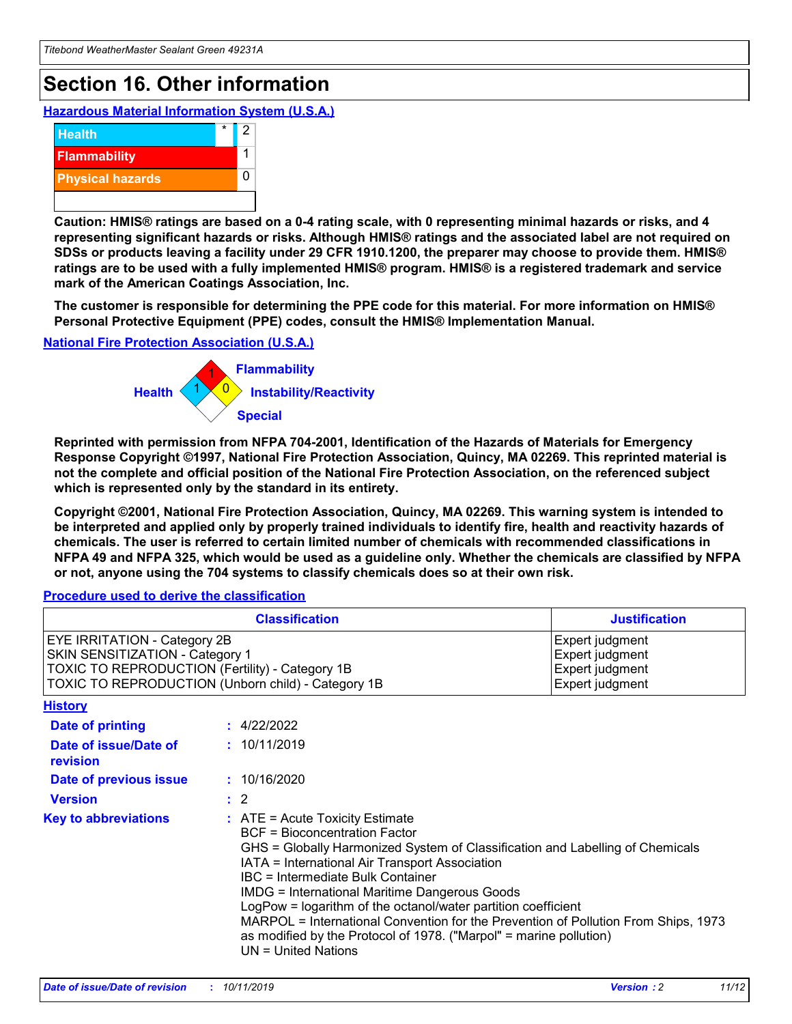## **Section 16. Other information**

**Hazardous Material Information System (U.S.A.)**



**Caution: HMIS® ratings are based on a 0-4 rating scale, with 0 representing minimal hazards or risks, and 4 representing significant hazards or risks. Although HMIS® ratings and the associated label are not required on SDSs or products leaving a facility under 29 CFR 1910.1200, the preparer may choose to provide them. HMIS® ratings are to be used with a fully implemented HMIS® program. HMIS® is a registered trademark and service mark of the American Coatings Association, Inc.**

**The customer is responsible for determining the PPE code for this material. For more information on HMIS® Personal Protective Equipment (PPE) codes, consult the HMIS® Implementation Manual.**

#### **National Fire Protection Association (U.S.A.)**



**Reprinted with permission from NFPA 704-2001, Identification of the Hazards of Materials for Emergency Response Copyright ©1997, National Fire Protection Association, Quincy, MA 02269. This reprinted material is not the complete and official position of the National Fire Protection Association, on the referenced subject which is represented only by the standard in its entirety.**

**Copyright ©2001, National Fire Protection Association, Quincy, MA 02269. This warning system is intended to be interpreted and applied only by properly trained individuals to identify fire, health and reactivity hazards of chemicals. The user is referred to certain limited number of chemicals with recommended classifications in NFPA 49 and NFPA 325, which would be used as a guideline only. Whether the chemicals are classified by NFPA or not, anyone using the 704 systems to classify chemicals does so at their own risk.**

#### **Procedure used to derive the classification**

|                                                                                                                                  | <b>Classification</b>                                                                                                                                                                                                                                                                                                                                                                                                                                                                                                                                                           | <b>Justification</b>                                                     |
|----------------------------------------------------------------------------------------------------------------------------------|---------------------------------------------------------------------------------------------------------------------------------------------------------------------------------------------------------------------------------------------------------------------------------------------------------------------------------------------------------------------------------------------------------------------------------------------------------------------------------------------------------------------------------------------------------------------------------|--------------------------------------------------------------------------|
| <b>EYE IRRITATION - Category 2B</b><br>SKIN SENSITIZATION - Category 1<br><b>TOXIC TO REPRODUCTION (Fertility) - Category 1B</b> | TOXIC TO REPRODUCTION (Unborn child) - Category 1B                                                                                                                                                                                                                                                                                                                                                                                                                                                                                                                              | Expert judgment<br>Expert judgment<br>Expert judgment<br>Expert judgment |
| <b>History</b>                                                                                                                   |                                                                                                                                                                                                                                                                                                                                                                                                                                                                                                                                                                                 |                                                                          |
| Date of printing                                                                                                                 | : 4/22/2022                                                                                                                                                                                                                                                                                                                                                                                                                                                                                                                                                                     |                                                                          |
| Date of issue/Date of<br>revision                                                                                                | : 10/11/2019                                                                                                                                                                                                                                                                                                                                                                                                                                                                                                                                                                    |                                                                          |
| Date of previous issue                                                                                                           | : 10/16/2020                                                                                                                                                                                                                                                                                                                                                                                                                                                                                                                                                                    |                                                                          |
| <b>Version</b>                                                                                                                   | $\therefore$ 2                                                                                                                                                                                                                                                                                                                                                                                                                                                                                                                                                                  |                                                                          |
| <b>Key to abbreviations</b>                                                                                                      | $\therefore$ ATE = Acute Toxicity Estimate<br><b>BCF</b> = Bioconcentration Factor<br>GHS = Globally Harmonized System of Classification and Labelling of Chemicals<br>IATA = International Air Transport Association<br><b>IBC</b> = Intermediate Bulk Container<br><b>IMDG = International Maritime Dangerous Goods</b><br>LogPow = logarithm of the octanol/water partition coefficient<br>MARPOL = International Convention for the Prevention of Pollution From Ships, 1973<br>as modified by the Protocol of 1978. ("Marpol" = marine pollution)<br>$UN = United Nations$ |                                                                          |